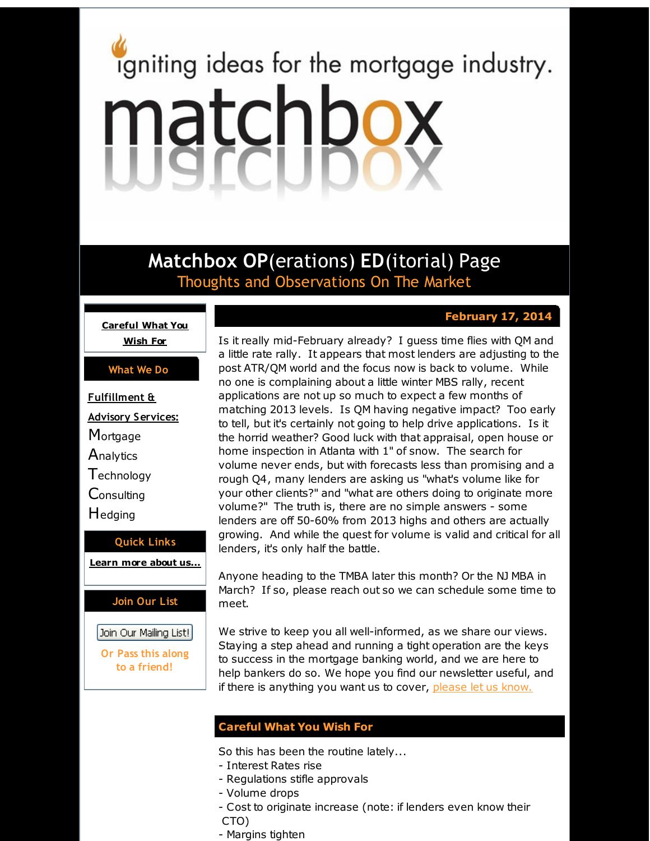# <span id="page-0-0"></span>igniting ideas for the mortgage industry. matchbox

**Matchbox OP**(erations) **ED**(itorial) Page Thoughts and Observations On The Market

# **February 17, 2014**

**[Careful](#page-0-0) What You Wish For**

### **What We Do**

**Fulfillment & Advisory Services: Mortgage Analytics T**echnology **Consulting H**edging **Quick Links**

**[Learn](http://r20.rs6.net/tn.jsp?f=001E-Z0eOTHjnRzRgrDnNuyoUYVQbWmUoDxhv0JC6WFnDzEj8oam8LVYK6brEu1Y3xodSa0GzqnG8yI5WoQua__XQiWHjy1j2p1yftDJWCzf75alpgQmG7NMSRpxk23xA89ak97YAxPOIUm1nUCJzhYe7rIfzUzaGKLMW4LsvrKUb1AoDfKgWJhYw==&c=&ch=) more about u[s...](http://r20.rs6.net/tn.jsp?f=001E-Z0eOTHjnRzRgrDnNuyoUYVQbWmUoDxhv0JC6WFnDzEj8oam8LVYK6brEu1Y3xodSa0GzqnG8yI5WoQua__XQiWHjy1j2p1yftDJWCzf75alpgQmG7NMSRpxk23xA89ak97YAxPOIUm1nUCJzhYe7rIfzUzaGKLMW4LsvrKUb1AoDfKgWJhYw==&c=&ch=)**

## **Join Our List**

Join Our Mailing List!

**Or Pass this along to a friend!**

Is it really mid-February already? I guess time flies with QM and a little rate rally. It appears that most lenders are adjusting to the post ATR/QM world and the focus now is back to volume. While no one is complaining about a little winter MBS rally, recent applications are not up so much to expect a few months of matching 2013 levels. Is QM having negative impact? Too early to tell, but it's certainly not going to help drive applications. Is it the horrid weather? Good luck with that appraisal, open house or home inspection in Atlanta with 1" of snow. The search for volume never ends, but with forecasts less than promising and a rough Q4, many lenders are asking us "what's volume like for your other clients?" and "what are others doing to originate more volume?" The truth is, there are no simple answers - some lenders are off 50-60% from 2013 highs and others are actually growing. And while the quest for volume is valid and critical for all lenders, it's only half the battle.

Anyone heading to the TMBA later this month? Or the NJ MBA in March? If so, please reach out so we can schedule some time to meet.

We strive to keep you all well-informed, as we share our views. Staying a step ahead and running a tight operation are the keys to success in the mortgage banking world, and we are here to help bankers do so. We hope you find our newsletter useful, and if there is anything you want us to cover, [please](http://r20.rs6.net/tn.jsp?f=001E-Z0eOTHjnRzRgrDnNuyoUYVQbWmUoDxhv0JC6WFnDzEj8oam8LVYAa40jJzzyUC_g-LuXONQbEMjCeSyXK80u5JlrC6MdtJViSUd8s9NmAvjymOCeQL44eJlXUN7oVZZObPdZMEJWh4f7L8BgUZhikEtf-IhYXvwKWG6-TFrIiEfUCqIznyFtx_3MisAg67&c=&ch=) let us know.

# **Careful What You Wish For**

So this has been the routine lately...

- Interest Rates rise
- Regulations stifle approvals
- Volume drops
- Cost to originate increase (note: if lenders even know their
- CTO)
- Margins tighten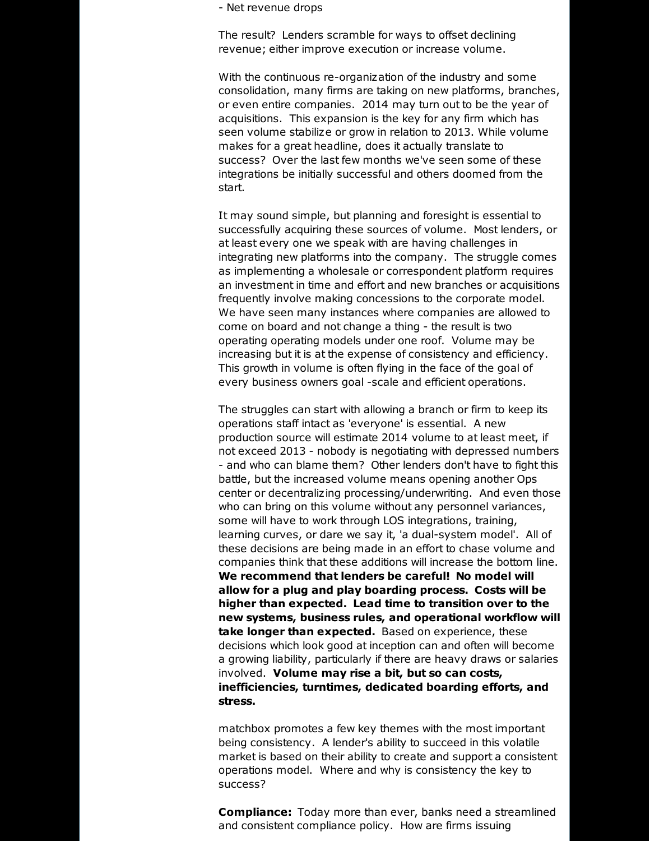- Net revenue drops

The result? Lenders scramble for ways to offset declining revenue; either improve execution or increase volume.

With the continuous re-organization of the industry and some consolidation, many firms are taking on new platforms, branches, or even entire companies. 2014 may turn out to be the year of acquisitions. This expansion is the key for any firm which has seen volume stabilize or grow in relation to 2013. While volume makes for a great headline, does it actually translate to success? Over the last few months we've seen some of these integrations be initially successful and others doomed from the start.

It may sound simple, but planning and foresight is essential to successfully acquiring these sources of volume. Most lenders, or at least every one we speak with are having challenges in integrating new platforms into the company. The struggle comes as implementing a wholesale or correspondent platform requires an investment in time and effort and new branches or acquisitions frequently involve making concessions to the corporate model. We have seen many instances where companies are allowed to come on board and not change a thing - the result is two operating operating models under one roof. Volume may be increasing but it is at the expense of consistency and efficiency. This growth in volume is often flying in the face of the goal of every business owners goal -scale and efficient operations.

The struggles can start with allowing a branch or firm to keep its operations staff intact as 'everyone' is essential. A new production source will estimate 2014 volume to at least meet, if not exceed 2013 - nobody is negotiating with depressed numbers - and who can blame them? Other lenders don't have to fight this battle, but the increased volume means opening another Ops center or decentralizing processing/underwriting. And even those who can bring on this volume without any personnel variances, some will have to work through LOS integrations, training, learning curves, or dare we say it, 'a dual-system model'. All of these decisions are being made in an effort to chase volume and companies think that these additions will increase the bottom line. **We recommend that lenders be careful! No model will allow for a plug and play boarding process. Costs will be higher than expected. Lead time to transition over to the new systems, business rules, and operational workflow will take longer than expected.** Based on experience, these decisions which look good at inception can and often will become a growing liability, particularly if there are heavy draws or salaries involved. **Volume may rise a bit, but so can costs, inefficiencies, turntimes, dedicated boarding efforts, and stress.**

matchbox promotes a few key themes with the most important being consistency. A lender's ability to succeed in this volatile market is based on their ability to create and support a consistent operations model. Where and why is consistency the key to success?

**Compliance:** Today more than ever, banks need a streamlined and consistent compliance policy. How are firms issuing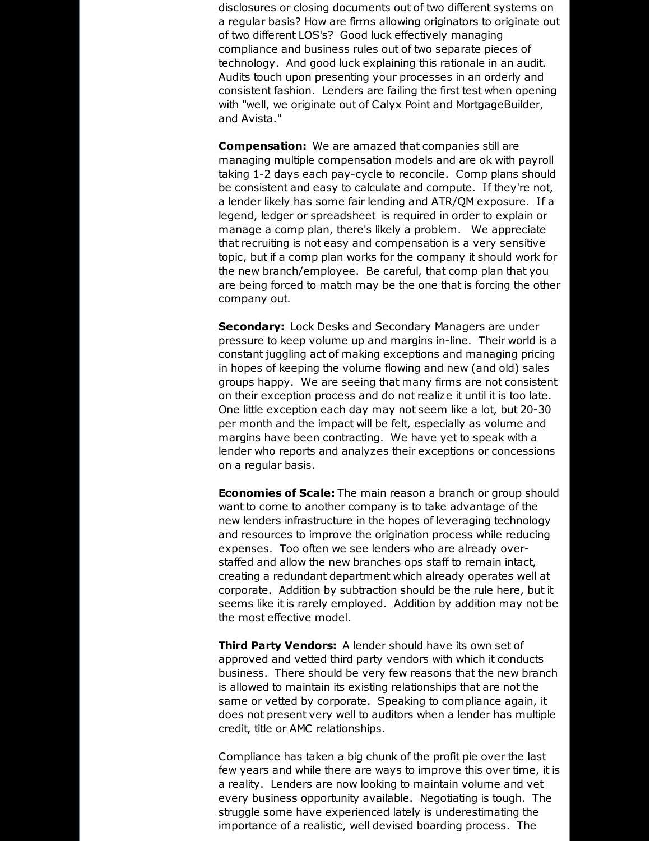disclosures or closing documents out of two different systems on a regular basis? How are firms allowing originators to originate out of two different LOS's? Good luck effectively managing compliance and business rules out of two separate pieces of technology. And good luck explaining this rationale in an audit. Audits touch upon presenting your processes in an orderly and consistent fashion. Lenders are failing the first test when opening with "well, we originate out of Calyx Point and MortgageBuilder, and Avista."

**Compensation:** We are amazed that companies still are managing multiple compensation models and are ok with payroll taking 1-2 days each pay-cycle to reconcile. Comp plans should be consistent and easy to calculate and compute. If they're not, a lender likely has some fair lending and ATR/QM exposure. If a legend, ledger or spreadsheet is required in order to explain or manage a comp plan, there's likely a problem. We appreciate that recruiting is not easy and compensation is a very sensitive topic, but if a comp plan works for the company it should work for the new branch/employee. Be careful, that comp plan that you are being forced to match may be the one that is forcing the other company out.

**Secondary:** Lock Desks and Secondary Managers are under pressure to keep volume up and margins in-line. Their world is a constant juggling act of making exceptions and managing pricing in hopes of keeping the volume flowing and new (and old) sales groups happy. We are seeing that many firms are not consistent on their exception process and do not realize it until it is too late. One little exception each day may not seem like a lot, but 20-30 per month and the impact will be felt, especially as volume and margins have been contracting. We have yet to speak with a lender who reports and analyzes their exceptions or concessions on a regular basis.

**Economies of Scale:** The main reason a branch or group should want to come to another company is to take advantage of the new lenders infrastructure in the hopes of leveraging technology and resources to improve the origination process while reducing expenses. Too often we see lenders who are already overstaffed and allow the new branches ops staff to remain intact, creating a redundant department which already operates well at corporate. Addition by subtraction should be the rule here, but it seems like it is rarely employed. Addition by addition may not be the most effective model.

**Third Party Vendors:** A lender should have its own set of approved and vetted third party vendors with which it conducts business. There should be very few reasons that the new branch is allowed to maintain its existing relationships that are not the same or vetted by corporate. Speaking to compliance again, it does not present very well to auditors when a lender has multiple credit, title or AMC relationships.

Compliance has taken a big chunk of the profit pie over the last few years and while there are ways to improve this over time, it is a reality. Lenders are now looking to maintain volume and vet every business opportunity available. Negotiating is tough. The struggle some have experienced lately is underestimating the importance of a realistic, well devised boarding process. The